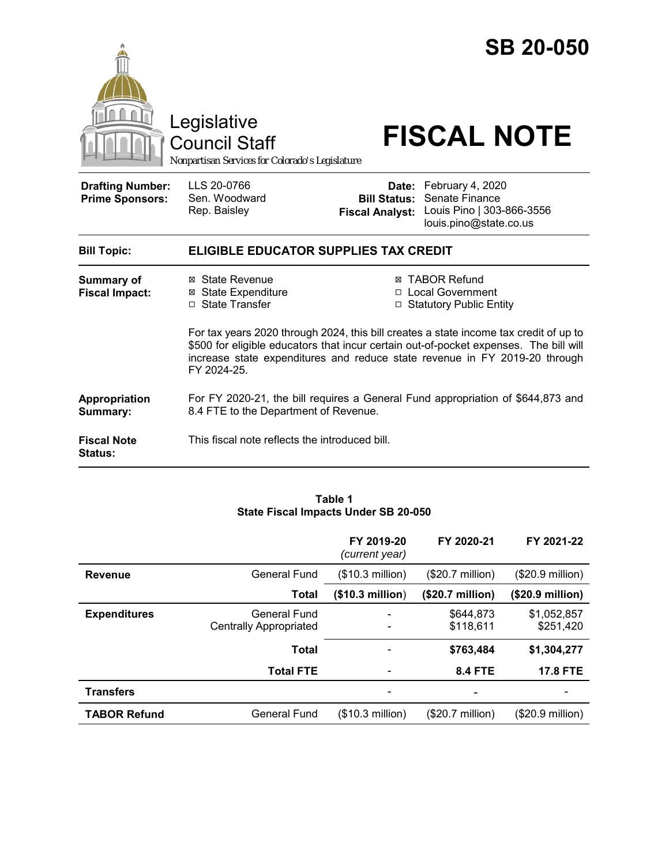

#### **Table 1 State Fiscal Impacts Under SB 20-050**

|                     |                                               | FY 2019-20<br>(current year)                                 | FY 2020-21                | FY 2021-22                |
|---------------------|-----------------------------------------------|--------------------------------------------------------------|---------------------------|---------------------------|
| <b>Revenue</b>      | <b>General Fund</b>                           | (\$10.3 million)                                             | $($20.7 \text{ million})$ | (\$20.9 million)          |
|                     | <b>Total</b>                                  | (\$10.3 million)                                             | (\$20.7 million)          | (\$20.9 million)          |
| <b>Expenditures</b> | General Fund<br><b>Centrally Appropriated</b> | $\qquad \qquad \blacksquare$<br>$\qquad \qquad \blacksquare$ | \$644,873<br>\$118,611    | \$1,052,857<br>\$251,420  |
|                     | <b>Total</b>                                  |                                                              | \$763,484                 | \$1,304,277               |
|                     | <b>Total FTE</b>                              | $\qquad \qquad \blacksquare$                                 | <b>8.4 FTE</b>            | <b>17.8 FTE</b>           |
| <b>Transfers</b>    |                                               |                                                              |                           |                           |
| <b>TABOR Refund</b> | General Fund                                  | (\$10.3 million)                                             | $($20.7 \text{ million})$ | $($20.9 \text{ million})$ |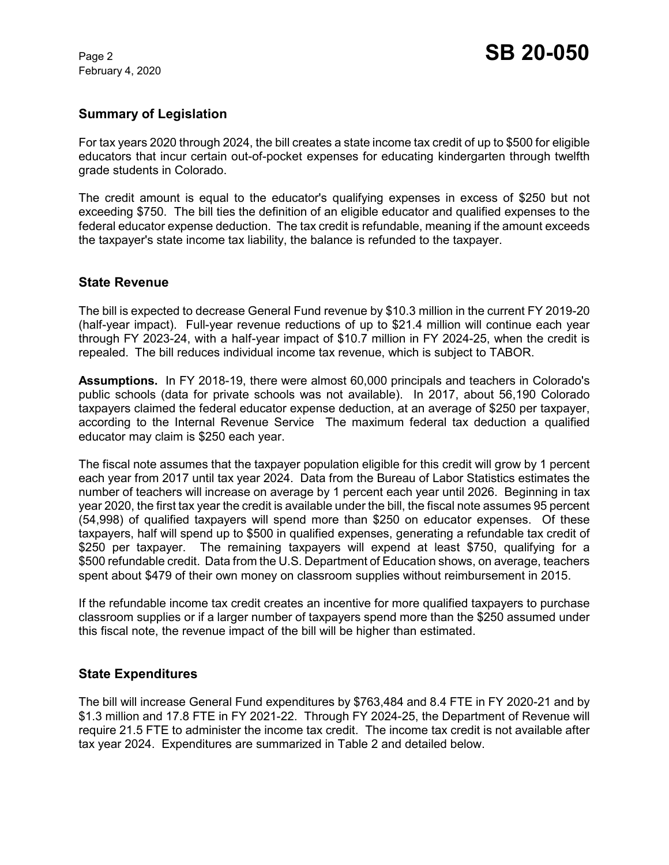February 4, 2020

# **Summary of Legislation**

For tax years 2020 through 2024, the bill creates a state income tax credit of up to \$500 for eligible educators that incur certain out-of-pocket expenses for educating kindergarten through twelfth grade students in Colorado.

The credit amount is equal to the educator's qualifying expenses in excess of \$250 but not exceeding \$750. The bill ties the definition of an eligible educator and qualified expenses to the federal educator expense deduction. The tax credit is refundable, meaning if the amount exceeds the taxpayer's state income tax liability, the balance is refunded to the taxpayer.

### **State Revenue**

The bill is expected to decrease General Fund revenue by \$10.3 million in the current FY 2019-20 (half-year impact). Full-year revenue reductions of up to \$21.4 million will continue each year through FY 2023-24, with a half-year impact of \$10.7 million in FY 2024-25, when the credit is repealed. The bill reduces individual income tax revenue, which is subject to TABOR.

**Assumptions.** In FY 2018-19, there were almost 60,000 principals and teachers in Colorado's public schools (data for private schools was not available). In 2017, about 56,190 Colorado taxpayers claimed the federal educator expense deduction, at an average of \$250 per taxpayer, according to the Internal Revenue Service The maximum federal tax deduction a qualified educator may claim is \$250 each year.

The fiscal note assumes that the taxpayer population eligible for this credit will grow by 1 percent each year from 2017 until tax year 2024. Data from the Bureau of Labor Statistics estimates the number of teachers will increase on average by 1 percent each year until 2026. Beginning in tax year 2020, the first tax year the credit is available under the bill, the fiscal note assumes 95 percent (54,998) of qualified taxpayers will spend more than \$250 on educator expenses. Of these taxpayers, half will spend up to \$500 in qualified expenses, generating a refundable tax credit of \$250 per taxpayer. The remaining taxpayers will expend at least \$750, qualifying for a \$500 refundable credit. Data from the U.S. Department of Education shows, on average, teachers spent about \$479 of their own money on classroom supplies without reimbursement in 2015.

If the refundable income tax credit creates an incentive for more qualified taxpayers to purchase classroom supplies or if a larger number of taxpayers spend more than the \$250 assumed under this fiscal note, the revenue impact of the bill will be higher than estimated.

### **State Expenditures**

The bill will increase General Fund expenditures by \$763,484 and 8.4 FTE in FY 2020-21 and by \$1.3 million and 17.8 FTE in FY 2021-22. Through FY 2024-25, the Department of Revenue will require 21.5 FTE to administer the income tax credit. The income tax credit is not available after tax year 2024. Expenditures are summarized in Table 2 and detailed below.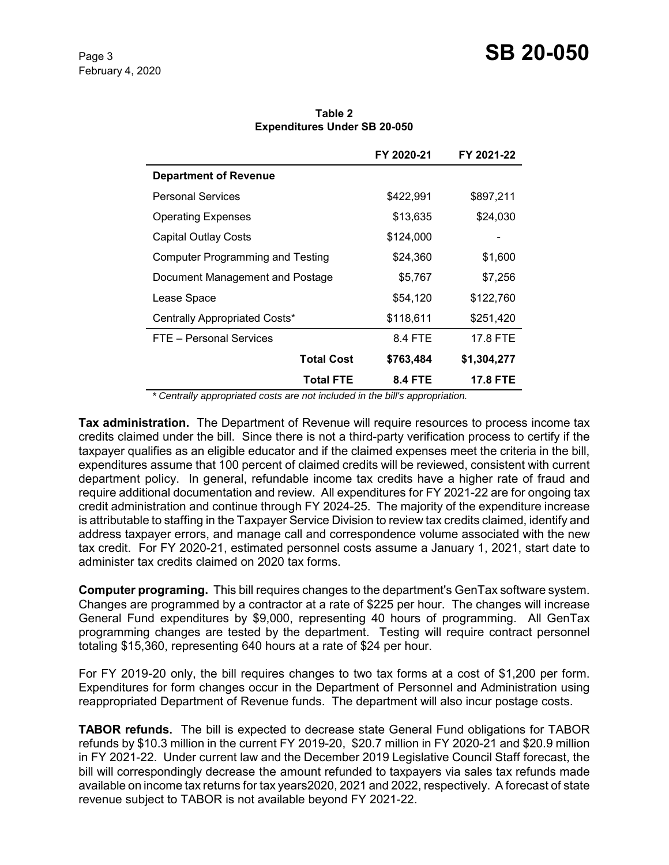|                                         | FY 2020-21     | FY 2021-22      |
|-----------------------------------------|----------------|-----------------|
| <b>Department of Revenue</b>            |                |                 |
| <b>Personal Services</b>                | \$422,991      | \$897,211       |
| <b>Operating Expenses</b>               | \$13,635       | \$24,030        |
| <b>Capital Outlay Costs</b>             | \$124,000      |                 |
| <b>Computer Programming and Testing</b> | \$24,360       | \$1,600         |
| Document Management and Postage         | \$5,767        | \$7,256         |
| Lease Space                             | \$54,120       | \$122,760       |
| Centrally Appropriated Costs*           | \$118,611      | \$251,420       |
| FTE - Personal Services                 | 8.4 FTE        | 17.8 FTE        |
| <b>Total Cost</b>                       | \$763,484      | \$1,304,277     |
| <b>Total FTE</b>                        | <b>8.4 FTE</b> | <b>17.8 FTE</b> |

**Table 2 Expenditures Under SB 20-050**

 *\* Centrally appropriated costs are not included in the bill's appropriation.*

**Tax administration.** The Department of Revenue will require resources to process income tax credits claimed under the bill. Since there is not a third-party verification process to certify if the taxpayer qualifies as an eligible educator and if the claimed expenses meet the criteria in the bill, expenditures assume that 100 percent of claimed credits will be reviewed, consistent with current department policy. In general, refundable income tax credits have a higher rate of fraud and require additional documentation and review. All expenditures for FY 2021-22 are for ongoing tax credit administration and continue through FY 2024-25. The majority of the expenditure increase is attributable to staffing in the Taxpayer Service Division to review tax credits claimed, identify and address taxpayer errors, and manage call and correspondence volume associated with the new tax credit. For FY 2020-21, estimated personnel costs assume a January 1, 2021, start date to administer tax credits claimed on 2020 tax forms.

**Computer programing.** This bill requires changes to the department's GenTax software system. Changes are programmed by a contractor at a rate of \$225 per hour. The changes will increase General Fund expenditures by \$9,000, representing 40 hours of programming. All GenTax programming changes are tested by the department. Testing will require contract personnel totaling \$15,360, representing 640 hours at a rate of \$24 per hour.

For FY 2019-20 only, the bill requires changes to two tax forms at a cost of \$1,200 per form. Expenditures for form changes occur in the Department of Personnel and Administration using reappropriated Department of Revenue funds. The department will also incur postage costs.

**TABOR refunds.** The bill is expected to decrease state General Fund obligations for TABOR refunds by \$10.3 million in the current FY 2019-20, \$20.7 million in FY 2020-21 and \$20.9 million in FY 2021-22. Under current law and the December 2019 Legislative Council Staff forecast, the bill will correspondingly decrease the amount refunded to taxpayers via sales tax refunds made available on income tax returns for tax years2020, 2021 and 2022, respectively. A forecast of state revenue subject to TABOR is not available beyond FY 2021-22.